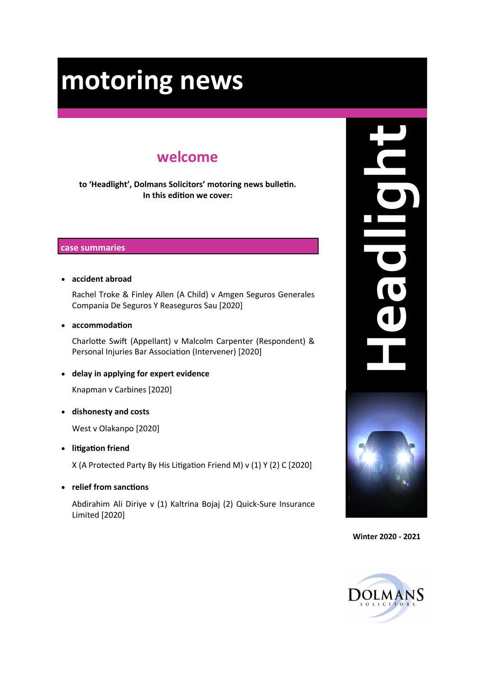# **welcome**

**to 'Headlight', Dolmans Solicitors' motoring news bulletin. In this edition we cover:**

#### **case summaries**

• **accident abroad**

Rachel Troke & Finley Allen (A Child) v Amgen Seguros Generales Compania De Seguros Y Reaseguros Sau [2020]

• **accommodation**

Charlotte Swift (Appellant) v Malcolm Carpenter (Respondent) & Personal Injuries Bar Association (Intervener) [2020]

• **delay in applying for expert evidence**

Knapman v Carbines [2020]

• **dishonesty and costs**

West v Olakanpo [2020]

• **litigation friend** 

X (A Protected Party By His Litigation Friend M) v (1) Y (2) C [2020]

• **relief from sanctions**

Abdirahim Ali Diriye v (1) Kaltrina Bojaj (2) Quick-Sure Insurance Limited [2020]



**Winter 2020 - 2021**

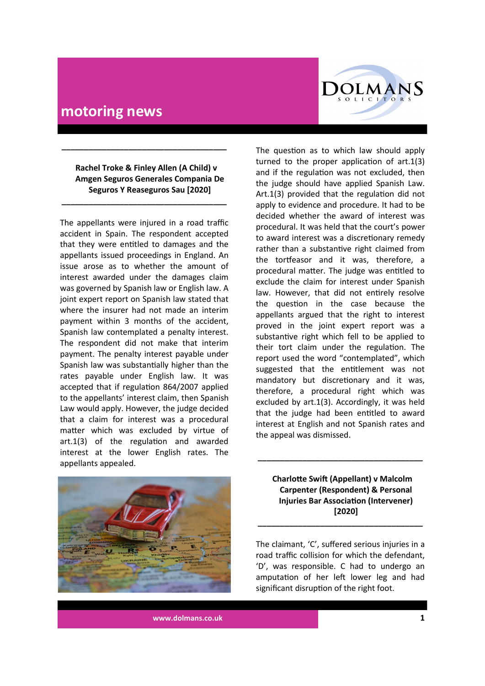

 **Rachel Troke & Finley Allen (A Child) v Amgen Seguros Generales Compania De Seguros Y Reaseguros Sau [2020]**

**\_\_\_\_\_\_\_\_\_\_\_\_\_\_\_\_\_\_\_\_\_\_\_\_\_\_\_\_\_\_\_\_\_\_\_\_\_**

**\_\_\_\_\_\_\_\_\_\_\_\_\_\_\_\_\_\_\_\_\_\_\_\_\_\_\_\_\_\_\_\_\_\_\_\_\_**

The appellants were injured in a road traffic accident in Spain. The respondent accepted that they were entitled to damages and the appellants issued proceedings in England. An issue arose as to whether the amount of interest awarded under the damages claim was governed by Spanish law or English law. A joint expert report on Spanish law stated that where the insurer had not made an interim payment within 3 months of the accident, Spanish law contemplated a penalty interest. The respondent did not make that interim payment. The penalty interest payable under Spanish law was substantially higher than the rates payable under English law. It was accepted that if regulation 864/2007 applied to the appellants' interest claim, then Spanish Law would apply. However, the judge decided that a claim for interest was a procedural matter which was excluded by virtue of art.1(3) of the regulation and awarded interest at the lower English rates. The appellants appealed.

The question as to which law should apply turned to the proper application of art.1(3) and if the regulation was not excluded, then the judge should have applied Spanish Law. Art.1(3) provided that the regulation did not apply to evidence and procedure. It had to be decided whether the award of interest was procedural. It was held that the court's power to award interest was a discretionary remedy rather than a substantive right claimed from the tortfeasor and it was, therefore, a procedural matter. The judge was entitled to exclude the claim for interest under Spanish law. However, that did not entirely resolve the question in the case because the appellants argued that the right to interest proved in the joint expert report was a substantive right which fell to be applied to their tort claim under the regulation. The report used the word "contemplated", which suggested that the entitlement was not mandatory but discretionary and it was, therefore, a procedural right which was excluded by art.1(3). Accordingly, it was held that the judge had been entitled to award interest at English and not Spanish rates and the appeal was dismissed.



 **Charlotte Swift (Appellant) v Malcolm Carpenter (Respondent) & Personal Injuries Bar Association (Intervener) [2020]**

**\_\_\_\_\_\_\_\_\_\_\_\_\_\_\_\_\_\_\_\_\_\_\_\_\_\_\_\_\_\_\_\_\_\_\_\_\_**

The claimant, 'C', suffered serious injuries in a road traffic collision for which the defendant, 'D', was responsible. C had to undergo an amputation of her left lower leg and had significant disruption of the right foot.

**\_\_\_\_\_\_\_\_\_\_\_\_\_\_\_\_\_\_\_\_\_\_\_\_\_\_\_\_\_\_\_\_\_\_\_\_\_**

**www.dolmans.co.uk 1**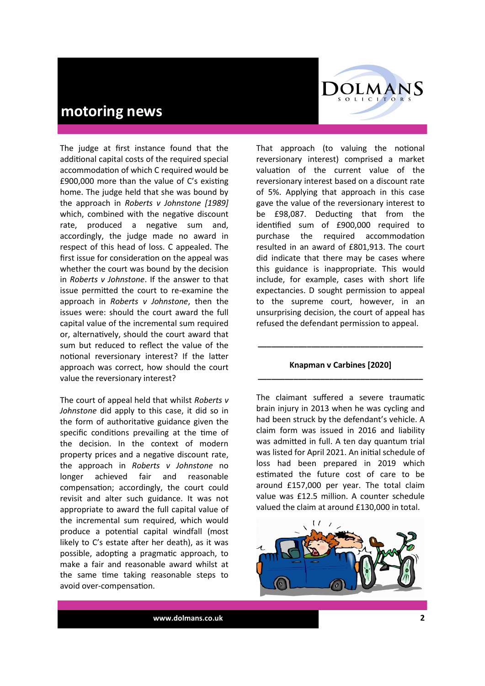

The judge at first instance found that the additional capital costs of the required special accommodation of which C required would be £900,000 more than the value of C's existing home. The judge held that she was bound by the approach in *Roberts v Johnstone [1989]*  which, combined with the negative discount rate, produced a negative sum and, accordingly, the judge made no award in respect of this head of loss. C appealed. The first issue for consideration on the appeal was whether the court was bound by the decision in *Roberts v Johnstone*. If the answer to that issue permitted the court to re-examine the approach in *Roberts v Johnstone*, then the issues were: should the court award the full capital value of the incremental sum required or, alternatively, should the court award that sum but reduced to reflect the value of the notional reversionary interest? If the latter approach was correct, how should the court value the reversionary interest?

The court of appeal held that whilst *Roberts v Johnstone* did apply to this case, it did so in the form of authoritative guidance given the specific conditions prevailing at the time of the decision. In the context of modern property prices and a negative discount rate, the approach in *Roberts v Johnstone* no longer achieved fair and reasonable compensation; accordingly, the court could revisit and alter such guidance. It was not appropriate to award the full capital value of the incremental sum required, which would produce a potential capital windfall (most likely to C's estate after her death), as it was possible, adopting a pragmatic approach, to make a fair and reasonable award whilst at the same time taking reasonable steps to avoid over-compensation.

That approach (to valuing the notional reversionary interest) comprised a market valuation of the current value of the reversionary interest based on a discount rate of 5%. Applying that approach in this case gave the value of the reversionary interest to be £98,087. Deducting that from the identified sum of £900,000 required to purchase the required accommodation resulted in an award of £801,913. The court did indicate that there may be cases where this guidance is inappropriate. This would include, for example, cases with short life expectancies. D sought permission to appeal to the supreme court, however, in an unsurprising decision, the court of appeal has refused the defendant permission to appeal.

#### **Knapman v Carbines [2020] \_\_\_\_\_\_\_\_\_\_\_\_\_\_\_\_\_\_\_\_\_\_\_\_\_\_\_\_\_\_\_\_\_\_\_\_\_**

**\_\_\_\_\_\_\_\_\_\_\_\_\_\_\_\_\_\_\_\_\_\_\_\_\_\_\_\_\_\_\_\_\_\_\_\_\_**

The claimant suffered a severe traumatic brain injury in 2013 when he was cycling and had been struck by the defendant's vehicle. A claim form was issued in 2016 and liability was admitted in full. A ten day quantum trial was listed for April 2021. An initial schedule of loss had been prepared in 2019 which estimated the future cost of care to be around £157,000 per year. The total claim value was £12.5 million. A counter schedule valued the claim at around £130,000 in total.

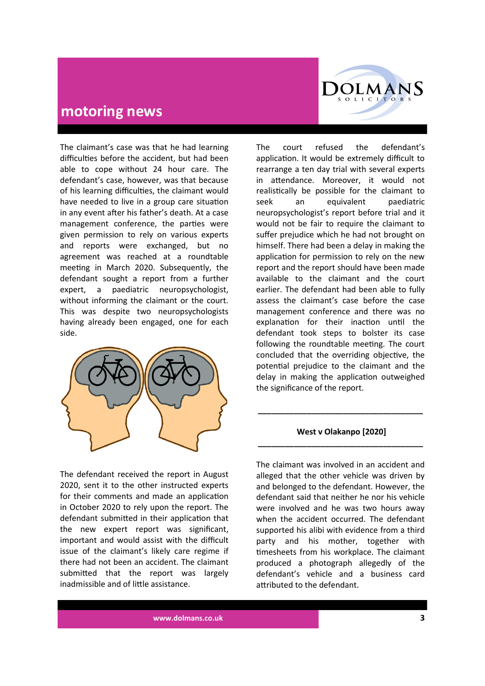

The claimant's case was that he had learning difficulties before the accident, but had been able to cope without 24 hour care. The defendant's case, however, was that because of his learning difficulties, the claimant would have needed to live in a group care situation in any event after his father's death. At a case management conference, the parties were given permission to rely on various experts and reports were exchanged, but no agreement was reached at a roundtable meeting in March 2020. Subsequently, the defendant sought a report from a further expert, a paediatric neuropsychologist, without informing the claimant or the court. This was despite two neuropsychologists having already been engaged, one for each side.



The defendant received the report in August 2020, sent it to the other instructed experts for their comments and made an application in October 2020 to rely upon the report. The defendant submitted in their application that the new expert report was significant, important and would assist with the difficult issue of the claimant's likely care regime if there had not been an accident. The claimant submitted that the report was largely inadmissible and of little assistance.

The court refused the defendant's application. It would be extremely difficult to rearrange a ten day trial with several experts in attendance. Moreover, it would not realistically be possible for the claimant to seek an equivalent paediatric neuropsychologist's report before trial and it would not be fair to require the claimant to suffer prejudice which he had not brought on himself. There had been a delay in making the application for permission to rely on the new report and the report should have been made available to the claimant and the court earlier. The defendant had been able to fully assess the claimant's case before the case management conference and there was no explanation for their inaction until the defendant took steps to bolster its case following the roundtable meeting. The court concluded that the overriding objective, the potential prejudice to the claimant and the delay in making the application outweighed the significance of the report.

#### **West v Olakanpo [2020] \_\_\_\_\_\_\_\_\_\_\_\_\_\_\_\_\_\_\_\_\_\_\_\_\_\_\_\_\_\_\_\_\_\_\_\_\_**

**\_\_\_\_\_\_\_\_\_\_\_\_\_\_\_\_\_\_\_\_\_\_\_\_\_\_\_\_\_\_\_\_\_\_\_\_\_**

The claimant was involved in an accident and alleged that the other vehicle was driven by and belonged to the defendant. However, the defendant said that neither he nor his vehicle were involved and he was two hours away when the accident occurred. The defendant supported his alibi with evidence from a third party and his mother, together with timesheets from his workplace. The claimant produced a photograph allegedly of the defendant's vehicle and a business card attributed to the defendant.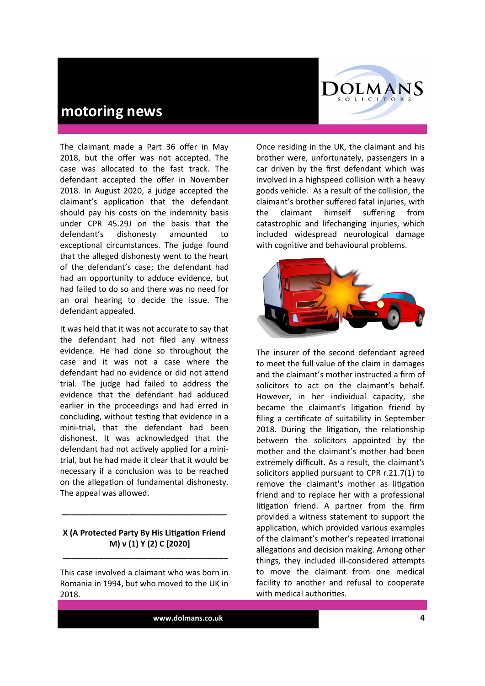The claimant made a Part 36 offer in May 2018, but the offer was not accepted. The case was allocated to the fast track. The defendant accepted the offer in November 2018. In August 2020, a judge accepted the claimant's application that the defendant should pay his costs on the indemnity basis under CPR 45.29J on the basis that the defendant's dishonesty amounted to exceptional circumstances. The judge found that the alleged dishonesty went to the heart of the defendant's case; the defendant had had an opportunity to adduce evidence, but had failed to do so and there was no need for an oral hearing to decide the issue. The defendant appealed.

It was held that it was not accurate to say that the defendant had not filed any witness evidence. He had done so throughout the case and it was not a case where the defendant had no evidence or did not attend trial. The judge had failed to address the evidence that the defendant had adduced earlier in the proceedings and had erred in concluding, without testing that evidence in a mini-trial, that the defendant had been dishonest. It was acknowledged that the defendant had not actively applied for a minitrial, but he had made it clear that it would be necessary if a conclusion was to be reached on the allegation of fundamental dishonesty. The appeal was allowed.

#### **X (A Protected Party By His Litigation Friend M) v (1) Y (2) C [2020]**

**\_\_\_\_\_\_\_\_\_\_\_\_\_\_\_\_\_\_\_\_\_\_\_\_\_\_\_\_\_\_\_\_\_\_\_\_\_**

**\_\_\_\_\_\_\_\_\_\_\_\_\_\_\_\_\_\_\_\_\_\_\_\_\_\_\_\_\_\_\_\_\_\_\_\_\_**

This case involved a claimant who was born in Romania in 1994, but who moved to the UK in 2018.

Once residing in the UK, the claimant and his brother were, unfortunately, passengers in a car driven by the first defendant which was involved in a highspeed collision with a heavy goods vehicle. As a result of the collision, the claimant's brother suffered fatal injuries, with the claimant himself suffering from catastrophic and lifechanging injuries, which included widespread neurological damage with cognitive and behavioural problems.

**COLMANS** SOLICITORS



The insurer of the second defendant agreed to meet the full value of the claim in damages and the claimant's mother instructed a firm of solicitors to act on the claimant's behalf. However, in her individual capacity, she became the claimant's litigation friend by filing a certificate of suitability in September 2018. During the litigation, the relationship between the solicitors appointed by the mother and the claimant's mother had been extremely difficult. As a result, the claimant's solicitors applied pursuant to CPR r.21.7(1) to remove the claimant's mother as litigation friend and to replace her with a professional litigation friend. A partner from the firm provided a witness statement to support the application, which provided various examples of the claimant's mother's repeated irrational allegations and decision making. Among other things, they included ill-considered attempts to move the claimant from one medical facility to another and refusal to cooperate with medical authorities.

**www.dolmans.co.uk 4**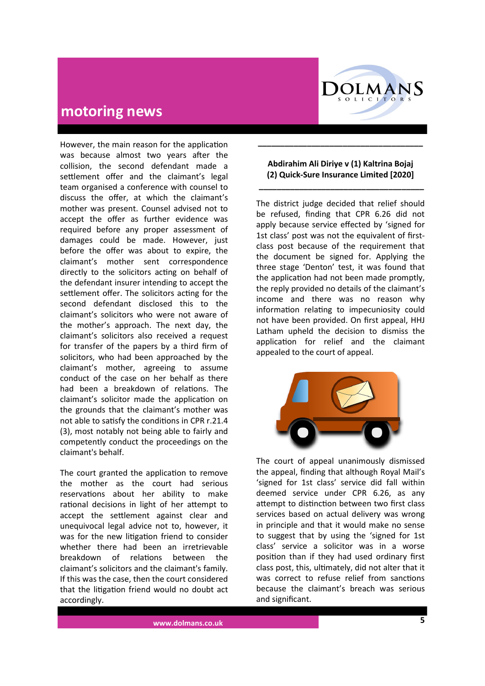

However, the main reason for the application was because almost two years after the collision, the second defendant made a settlement offer and the claimant's legal team organised a conference with counsel to discuss the offer, at which the claimant's mother was present. Counsel advised not to accept the offer as further evidence was required before any proper assessment of damages could be made. However, just before the offer was about to expire, the claimant's mother sent correspondence directly to the solicitors acting on behalf of the defendant insurer intending to accept the settlement offer. The solicitors acting for the second defendant disclosed this to the claimant's solicitors who were not aware of the mother's approach. The next day, the claimant's solicitors also received a request for transfer of the papers by a third firm of solicitors, who had been approached by the claimant's mother, agreeing to assume conduct of the case on her behalf as there had been a breakdown of relations. The claimant's solicitor made the application on the grounds that the claimant's mother was not able to satisfy the conditions in CPR r.21.4 (3), most notably not being able to fairly and competently conduct the proceedings on the claimant's behalf.

The court granted the application to remove the mother as the court had serious reservations about her ability to make rational decisions in light of her attempt to accept the settlement against clear and unequivocal legal advice not to, however, it was for the new litigation friend to consider whether there had been an irretrievable breakdown of relations between the claimant's solicitors and the claimant's family. If this was the case, then the court considered that the litigation friend would no doubt act accordingly.

#### **Abdirahim Ali Diriye v (1) Kaltrina Bojaj (2) Quick-Sure Insurance Limited [2020]**

**\_\_\_\_\_\_\_\_\_\_\_\_\_\_\_\_\_\_\_\_\_\_\_\_\_\_\_\_\_\_\_\_\_\_\_\_\_**

**\_\_\_\_\_\_\_\_\_\_\_\_\_\_\_\_\_\_\_\_\_\_\_\_\_\_\_\_\_\_\_\_\_\_\_\_\_**

The district judge decided that relief should be refused, finding that CPR 6.26 did not apply because service effected by 'signed for 1st class' post was not the equivalent of firstclass post because of the requirement that the document be signed for. Applying the three stage 'Denton' test, it was found that the application had not been made promptly, the reply provided no details of the claimant's income and there was no reason why information relating to impecuniosity could not have been provided. On first appeal, HHJ Latham upheld the decision to dismiss the application for relief and the claimant appealed to the court of appeal.



The court of appeal unanimously dismissed the appeal, finding that although Royal Mail's 'signed for 1st class' service did fall within deemed service under CPR 6.26, as any attempt to distinction between two first class services based on actual delivery was wrong in principle and that it would make no sense to suggest that by using the 'signed for 1st class' service a solicitor was in a worse position than if they had used ordinary first class post, this, ultimately, did not alter that it was correct to refuse relief from sanctions because the claimant's breach was serious and significant.